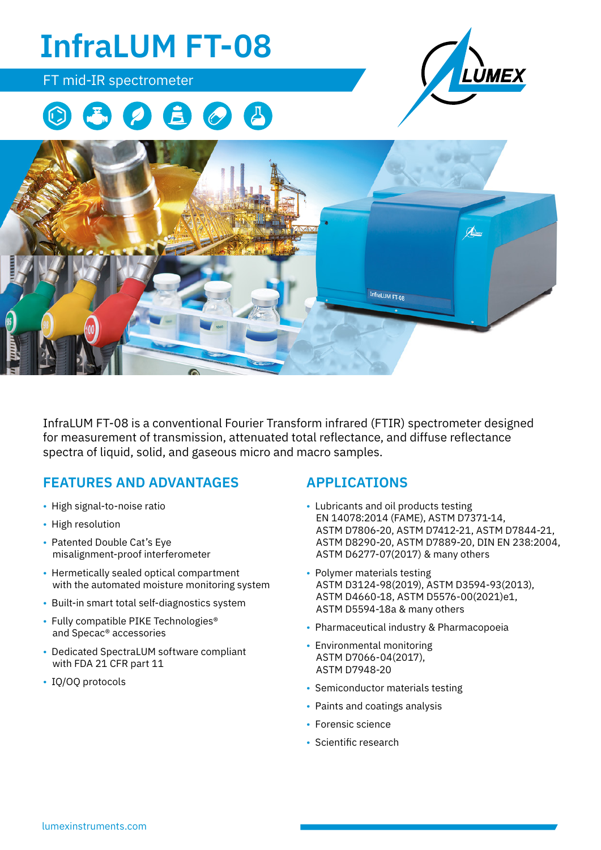

InfraLUM FT-08 is a conventional Fourier Transform infrared (FTIR) spectrometer designed for measurement of transmission, attenuated total reflectance, and diffuse reflectance spectra of liquid, solid, and gaseous micro and macro samples.

# **FEATURES AND ADVANTAGES**

- High signal-to-noise ratio
- High resolution
- Patented Double Cat's Eye misalignment-proof interferometer
- Hermetically sealed optical compartment with the automated moisture monitoring system
- Built-in smart total self-diagnostics system
- Fully compatible PIKE Technologies<sup>®</sup> and Specac® accessories
- Dedicated SpectraLUM software compliant with FDA 21 CFR part 11
- IQ/OQ protocols

#### **APPLICATIONS**

- Lubricants and oil products testing EN 14078:2014 (FAME), ASTM D7371-14, ASTM D7806-20, ASTM D7412-21, ASTM D7844-21, ASTM D8290-20, ASTM D7889-20, DIN EN 238:2004, ASTM D6277-07(2017) & many others
- Polymer materials testing ASTM D3124-98(2019), ASTM D3594-93(2013), ASTM D4660-18, ASTM D5576-00(2021)e1, ASTM D5594-18a & many others
- Pharmaceutical industry & Pharmacopoeia
- Environmental monitoring ASTM D7066-04(2017), ASTM D7948-20
- Semiconductor materials testing
- Paints and coatings analysis
- Forensic science
- Scientific research